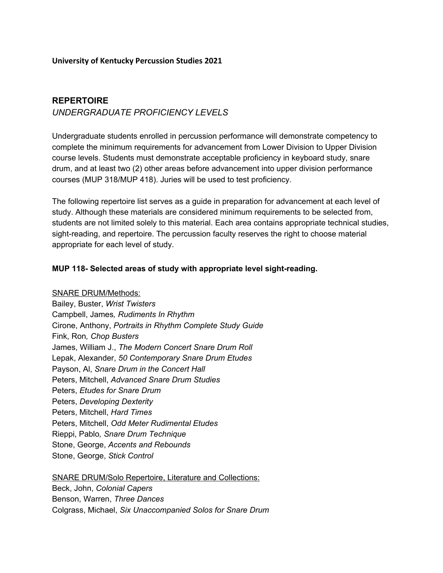## **University of Kentucky Percussion Studies 2021**

## **REPERTOIRE**

## *UNDERGRADUATE PROFICIENCY LEVELS*

Undergraduate students enrolled in percussion performance will demonstrate competency to complete the minimum requirements for advancement from Lower Division to Upper Division course levels. Students must demonstrate acceptable proficiency in keyboard study, snare drum, and at least two (2) other areas before advancement into upper division performance courses (MUP 318/MUP 418). Juries will be used to test proficiency.

The following repertoire list serves as a guide in preparation for advancement at each level of study. Although these materials are considered minimum requirements to be selected from, students are not limited solely to this material. Each area contains appropriate technical studies, sight-reading, and repertoire. The percussion faculty reserves the right to choose material appropriate for each level of study.

## **MUP 118- Selected areas of study with appropriate level sight-reading.**

SNARE DRUM/Methods:

Bailey, Buster, *Wrist Twisters* Campbell, James*, Rudiments In Rhythm* Cirone, Anthony, *Portraits in Rhythm Complete Study Guide* Fink, Ron*, Chop Busters* James, William J., *The Modern Concert Snare Drum Roll* Lepak, Alexander, *50 Contemporary Snare Drum Etudes* Payson, Al, *Snare Drum in the Concert Hall* Peters, Mitchell, *Advanced Snare Drum Studies* Peters, *Etudes for Snare Drum* Peters, *Developing Dexterity* Peters, Mitchell, *Hard Times* Peters, Mitchell, *Odd Meter Rudimental Etudes* Rieppi, Pablo*, Snare Drum Technique* Stone, George, *Accents and Rebounds* Stone, George, *Stick Control*

SNARE DRUM/Solo Repertoire, Literature and Collections: Beck, John, *Colonial Capers* Benson, Warren, *Three Dances* Colgrass, Michael, *Six Unaccompanied Solos for Snare Drum*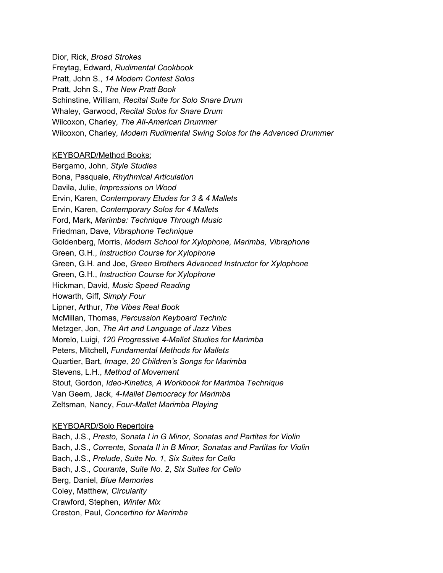Dior, Rick, *Broad Strokes* Freytag, Edward, *Rudimental Cookbook* Pratt, John S., *14 Modern Contest Solos* Pratt, John S., *The New Pratt Book* Schinstine, William, *Recital Suite for Solo Snare Drum* Whaley, Garwood, *Recital Solos for Snare Drum* Wilcoxon, Charley*, The All-American Drummer* Wilcoxon, Charley*, Modern Rudimental Swing Solos for the Advanced Drummer*

## KEYBOARD/Method Books:

Bergamo, John, *Style Studies* Bona, Pasquale, *Rhythmical Articulation* Davila, Julie, *Impressions on Wood* Ervin, Karen, *Contemporary Etudes for 3 & 4 Mallets* Ervin, Karen, *Contemporary Solos for 4 Mallets* Ford, Mark, *Marimba: Technique Through Music* Friedman, Dave, *Vibraphone Technique* Goldenberg, Morris, *Modern School for Xylophone, Marimba, Vibraphone* Green, G.H., *Instruction Course for Xylophone* Green, G.H. and Joe, *Green Brothers Advanced Instructor for Xylophone* Green, G.H., *Instruction Course for Xylophone* Hickman, David, *Music Speed Reading* Howarth, Giff, *Simply Four* Lipner, Arthur, *The Vibes Real Book* McMillan, Thomas, *Percussion Keyboard Technic* Metzger, Jon, *The Art and Language of Jazz Vibes* Morelo, Luigi, *120 Progressive 4-Mallet Studies for Marimba* Peters, Mitchell, *Fundamental Methods for Mallets* Quartier, Bart, *Image, 20 Children's Songs for Marimba* Stevens, L.H., *Method of Movement* Stout, Gordon, *Ideo-Kinetics, A Workbook for Marimba Technique* Van Geem, Jack, *4-Mallet Democracy for Marimba* Zeltsman, Nancy, *Four-Mallet Marimba Playing*

## KEYBOARD/Solo Repertoire

Bach, J.S., *Presto, Sonata I in G Minor, Sonatas and Partitas for Violin* Bach, J.S., *Corrente, Sonata II in B Minor, Sonatas and Partitas for Violin* Bach, J.S., *Prelude*, *Suite No. 1*, *Six Suites for Cello* Bach, J.S., *Courante*, *Suite No. 2*, *Six Suites for Cello* Berg, Daniel, *Blue Memories* Coley, Matthew*, Circularity* Crawford, Stephen, *Winter Mix* Creston, Paul, *Concertino for Marimba*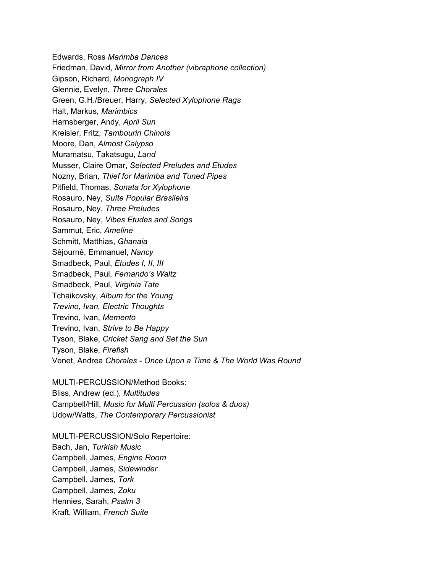Edwards, Ross *Marimba Dances* Friedman, David, *Mirror from Another (vibraphone collection)* Gipson, Richard, *Monograph IV* Glennie, Evelyn, *Three Chorales* Green, G.H./Breuer, Harry, *Selected Xylophone Rags* Halt, Markus, *Marimbics* Harnsberger, Andy, *April Sun* Kreisler, Fritz, *Tambourin Chinois* Moore, Dan, *Almost Calypso* Muramatsu, Takatsugu, *Land* Musser, Claire Omar, *Selected Preludes and Etudes* Nozny, Brian*, Thief for Marimba and Tuned Pipes* Pitfield, Thomas, *Sonata for Xylophone* Rosauro, Ney, *Suíte Popular Brasileira* Rosauro, Ney, *Three Preludes* Rosauro, Ney, *Vibes Etudes and Songs* Sammut, Eric, *Ameline* Schmitt, Matthias, *Ghanaia* Sèjournè, Emmanuel, *Nancy* Smadbeck, Paul, *Etudes I, II, III* Smadbeck, Paul, *Fernando's Waltz* Smadbeck, Paul, *Virginia Tate* Tchaikovsky, *Album for the Young Trevino, Ivan, Electric Thoughts* Trevino, Ivan, *Memento* Trevino, Ivan, *Strive to Be Happy* Tyson, Blake, *Cricket Sang and Set the Sun* Tyson, Blake, *Firefish* Venet, Andrea *Chorales - Once Upon a Time & The World Was Round*

## MULTI-PERCUSSION/Method Books:

Bliss, Andrew (ed.), *Multitudes* Campbell/Hill, *Music for Multi Percussion (solos & duos)* Udow/Watts, *The Contemporary Percussionist*

## MULTI-PERCUSSION/Solo Repertoire:

Bach, Jan, *Turkish Music* Campbell, James, *Engine Room* Campbell, James, *Sidewinder* Campbell, James, *Tork* Campbell, James, *Zoku* Hennies, Sarah, *Psalm 3* Kraft, William, *French Suite*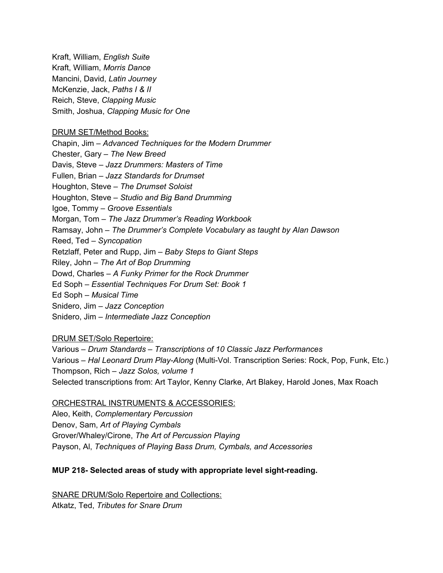Kraft, William, *English Suite* Kraft, William, *Morris Dance* Mancini, David, *Latin Journey* McKenzie, Jack, *Paths I & II* Reich, Steve, *Clapping Music* Smith, Joshua, *Clapping Music for One*

## DRUM SET/Method Books:

Chapin, Jim – *Advanced Techniques for the Modern Drummer* Chester, Gary – *The New Breed* Davis, Steve – *Jazz Drummers: Masters of Time* Fullen, Brian – *Jazz Standards for Drumset* Houghton, Steve – *The Drumset Soloist* Houghton, Steve – *Studio and Big Band Drumming* Igoe, Tommy – *Groove Essentials* Morgan, Tom – *The Jazz Drummer's Reading Workbook* Ramsay, John – *The Drummer's Complete Vocabulary as taught by Alan Dawson* Reed, Ted – *Syncopation* Retzlaff, Peter and Rupp, Jim – *Baby Steps to Giant Steps* Riley, John – *The Art of Bop Drumming* Dowd, Charles – *A Funky Primer for the Rock Drummer* Ed Soph – *Essential Techniques For Drum Set: Book 1* Ed Soph – *Musical Time* Snidero, Jim – *Jazz Conception* Snidero, Jim – *Intermediate Jazz Conception*

## DRUM SET/Solo Repertoire:

Various – *Drum Standards – Transcriptions of 10 Classic Jazz Performances* Various – *Hal Leonard Drum Play-Along* (Multi-Vol. Transcription Series: Rock, Pop, Funk, Etc.) Thompson, Rich – *Jazz Solos, volume 1* Selected transcriptions from: Art Taylor, Kenny Clarke, Art Blakey, Harold Jones, Max Roach

## ORCHESTRAL INSTRUMENTS & ACCESSORIES:

Aleo, Keith, *Complementary Percussion* Denov, Sam, *Art of Playing Cymbals* Grover/Whaley/Cirone, *The Art of Percussion Playing* Payson, Al, *Techniques of Playing Bass Drum, Cymbals, and Accessories*

## **MUP 218- Selected areas of study with appropriate level sight-reading.**

SNARE DRUM/Solo Repertoire and Collections: Atkatz, Ted, *Tributes for Snare Drum*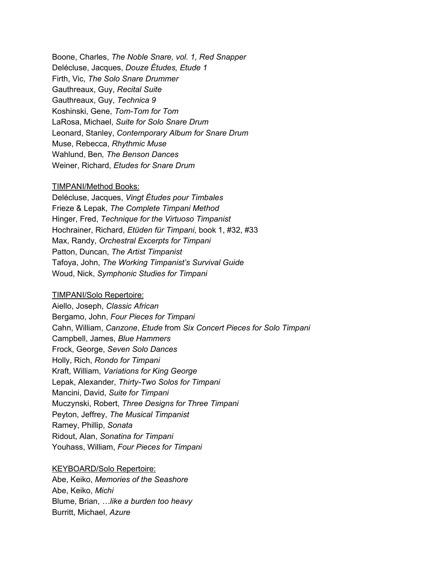Boone, Charles, *The Noble Snare, vol. 1, Red Snapper* Delécluse, Jacques, *Douze Études, Etude 1* Firth, Vic, *The Solo Snare Drummer* Gauthreaux, Guy, *Recital Suite* Gauthreaux, Guy, *Technica 9* Koshinski, Gene, *Tom-Tom for Tom* LaRosa, Michael, *Suite for Solo Snare Drum* Leonard, Stanley, *Contemporary Album for Snare Drum* Muse, Rebecca, *Rhythmic Muse* Wahlund, Ben*, The Benson Dances* Weiner, Richard, *Etudes for Snare Drum*

### TIMPANI/Method Books:

Delécluse, Jacques, *Vingt Études pour Timbales* Frieze & Lepak, *The Complete Timpani Method* Hinger, Fred, *Technique for the Virtuoso Timpanist* Hochrainer, Richard, *Etüden für Timpani*, book 1, #32, #33 Max, Randy, *Orchestral Excerpts for Timpani* Patton, Duncan, *The Artist Timpanist* Tafoya, John, *The Working Timpanist's Survival Guide* Woud, Nick, *Symphonic Studies for Timpani*

#### TIMPANI/Solo Repertoire:

Aiello, Joseph, *Classic African* Bergamo, John, *Four Pieces for Timpani* Cahn, William, *Canzone*, *Etude* from *Six Concert Pieces for Solo Timpani* Campbell, James, *Blue Hammers* Frock, George, *Seven Solo Dances* Holly, Rich, *Rondo for Timpani* Kraft, William, *Variations for King George* Lepak, Alexander, *Thirty-Two Solos for Timpani* Mancini, David, *Suite for Timpani* Muczynski, Robert, *Three Designs for Three Timpani* Peyton, Jeffrey, *The Musical Timpanist* Ramey, Phillip, *Sonata* Ridout, Alan, *Sonatina for Timpani* Youhass, William, *Four Pieces for Timpani*

#### KEYBOARD/Solo Repertoire:

Abe, Keiko, *Memories of the Seashore* Abe, Keiko, *Michi* Blume, Brian, *…like a burden too heavy* Burritt, Michael, *Azure*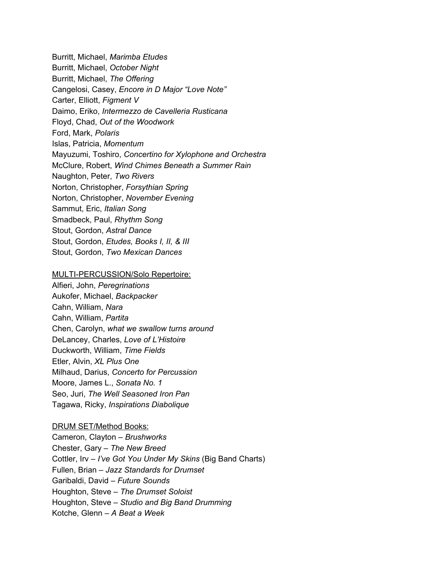Burritt, Michael, *Marimba Etudes* Burritt, Michael, *October Night* Burritt, Michael, *The Offering* Cangelosi, Casey, *Encore in D Major "Love Note"* Carter, Elliott, *Figment V* Daimo, Eriko, *Intermezzo de Cavelleria Rusticana* Floyd, Chad, *Out of the Woodwork* Ford, Mark, *Polaris* Islas, Patricia, *Momentum* Mayuzumi, Toshiro, *Concertino for Xylophone and Orchestra* McClure, Robert, *Wind Chimes Beneath a Summer Rain* Naughton, Peter, *Two Rivers* Norton, Christopher, *Forsythian Spring* Norton, Christopher, *November Evening* Sammut, Eric, *Italian Song* Smadbeck, Paul, *Rhythm Song* Stout, Gordon, *Astral Dance* Stout, Gordon, *Etudes, Books I, II, & III* Stout, Gordon, *Two Mexican Dances*

### MULTI-PERCUSSION/Solo Repertoire:

Alfieri, John, *Peregrinations* Aukofer, Michael, *Backpacker* Cahn, William, *Nara* Cahn, William, *Partita* Chen, Carolyn, *what we swallow turns around* DeLancey, Charles, *Love of L'Histoire* Duckworth, William, *Time Fields* Etler, Alvin, *XL Plus One* Milhaud, Darius, *Concerto for Percussion* Moore, James L., *Sonata No. 1* Seo, Juri, *The Well Seasoned Iron Pan* Tagawa, Ricky, *Inspirations Diabolique*

#### DRUM SET/Method Books:

Cameron, Clayton – *Brushworks* Chester, Gary – *The New Breed* Cottler, Irv – *I've Got You Under My Skins* (Big Band Charts) Fullen, Brian – *Jazz Standards for Drumset* Garibaldi, David – *Future Sounds* Houghton, Steve – *The Drumset Soloist* Houghton, Steve – *Studio and Big Band Drumming* Kotche, Glenn – *A Beat a Week*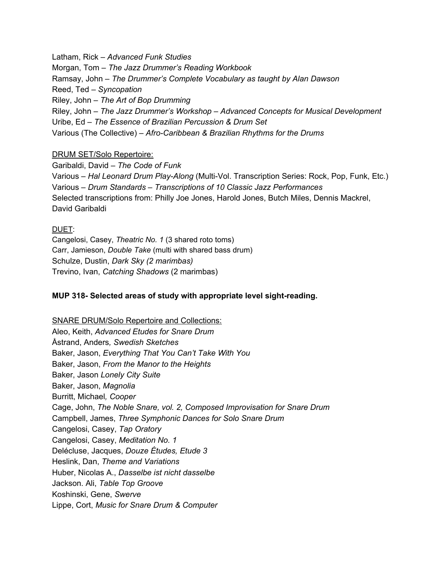Latham, Rick – *Advanced Funk Studies* Morgan, Tom – *The Jazz Drummer's Reading Workbook* Ramsay, John – *The Drummer's Complete Vocabulary as taught by Alan Dawson* Reed, Ted – *Syncopation* Riley, John – *The Art of Bop Drumming* Riley, John – *The Jazz Drummer's Workshop – Advanced Concepts for Musical Development* Uribe, Ed – *The Essence of Brazilian Percussion & Drum Set* Various (The Collective) – *Afro-Caribbean & Brazilian Rhythms for the Drums*

## DRUM SET/Solo Repertoire:

Garibaldi, David – *The Code of Funk* Various – *Hal Leonard Drum Play-Along* (Multi-Vol. Transcription Series: Rock, Pop, Funk, Etc.) Various – *Drum Standards – Transcriptions of 10 Classic Jazz Performances* Selected transcriptions from: Philly Joe Jones, Harold Jones, Butch Miles, Dennis Mackrel, David Garibaldi

## DUET:

Cangelosi, Casey, *Theatric No. 1* (3 shared roto toms) Carr, Jamieson, *Double Take* (multi with shared bass drum) Schulze, Dustin, *Dark Sky (2 marimbas)* Trevino, Ivan, *Catching Shadows* (2 marimbas)

## **MUP 318- Selected areas of study with appropriate level sight-reading.**

SNARE DRUM/Solo Repertoire and Collections: Aleo, Keith, *Advanced Etudes for Snare Drum* Åstrand, Anders*, Swedish Sketches* Baker, Jason, *Everything That You Can't Take With You* Baker, Jason, *From the Manor to the Heights* Baker, Jason *Lonely City Suite* Baker, Jason, *Magnolia* Burritt, Michael*, Cooper* Cage, John, *The Noble Snare, vol. 2, Composed Improvisation for Snare Drum* Campbell, James, *Three Symphonic Dances for Solo Snare Drum* Cangelosi, Casey, *Tap Oratory* Cangelosi, Casey, *Meditation No. 1* Delécluse, Jacques, *Douze Études, Etude 3* Heslink, Dan, *Theme and Variations* Huber, Nicolas A., *Dasselbe ist nicht dasselbe* Jackson. Ali, *Table Top Groove* Koshinski, Gene, *Swerve* Lippe, Cort, *Music for Snare Drum & Computer*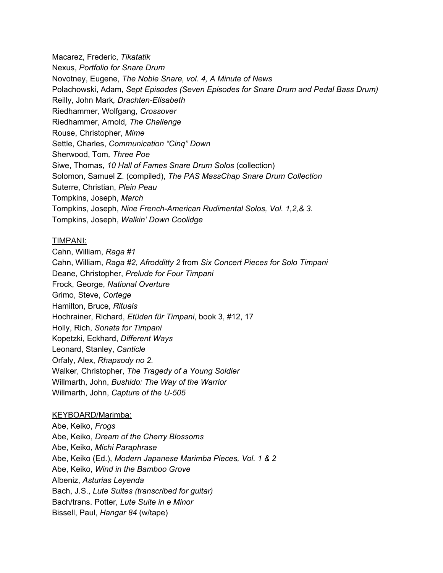Macarez, Frederic, *Tikatatik* Nexus, *Portfolio for Snare Drum* Novotney, Eugene, *The Noble Snare, vol. 4, A Minute of News* Polachowski, Adam, *Sept Episodes (Seven Episodes for Snare Drum and Pedal Bass Drum)* Reilly, John Mark*, Drachten-Elisabeth* Riedhammer, Wolfgang*, Crossover* Riedhammer, Arnold*, The Challenge* Rouse, Christopher, *Mime* Settle, Charles, *Communication "Cinq" Down* Sherwood, Tom*, Three Poe* Siwe, Thomas, *10 Hall of Fames Snare Drum Solos* (collection) Solomon, Samuel Z. (compiled), *The PAS MassChap Snare Drum Collection* Suterre, Christian, *Plein Peau* Tompkins, Joseph, *March* Tompkins, Joseph, *Nine French-American Rudimental Solos, Vol. 1,2,& 3.* Tompkins, Joseph, *Walkin' Down Coolidge*

## TIMPANI:

Cahn, William, *Raga #1* Cahn, William, *Raga #2*, *Afrodditty 2* from *Six Concert Pieces for Solo Timpani* Deane, Christopher, *Prelude for Four Timpani* Frock, George, *National Overture* Grimo, Steve, *Cortege* Hamilton, Bruce, *Rituals* Hochrainer, Richard, *Etüden für Timpani*, book 3, #12, 17 Holly, Rich, *Sonata for Timpani* Kopetzki, Eckhard, *Different Ways* Leonard, Stanley, *Canticle* Orfaly, Alex, *Rhapsody no 2.* Walker, Christopher, *The Tragedy of a Young Soldier* Willmarth, John, *Bushido: The Way of the Warrior* Willmarth, John, *Capture of the U-505*

## KEYBOARD/Marimba:

Abe, Keiko, *Frogs* Abe, Keiko, *Dream of the Cherry Blossoms* Abe, Keiko, *Michi Paraphrase* Abe, Keiko (Ed.), *Modern Japanese Marimba Pieces, Vol. 1 & 2* Abe, Keiko, *Wind in the Bamboo Grove* Albeniz, *Asturias Leyenda* Bach, J.S., *Lute Suites (transcribed for guitar)* Bach/trans. Potter, *Lute Suite in e Minor* Bissell, Paul, *Hangar 84* (w/tape)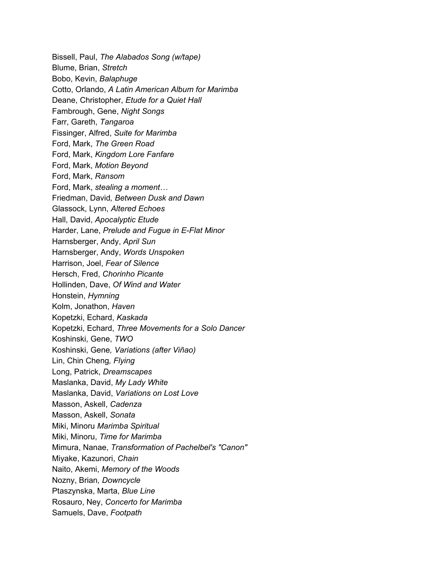Bissell, Paul, *The Alabados Song (w/tape)* Blume, Brian, *Stretch* Bobo, Kevin, *Balaphuge* Cotto, Orlando, *A Latin American Album for Marimba* Deane, Christopher, *Etude for a Quiet Hall* Fambrough, Gene, *Night Songs* Farr, Gareth, *Tangaroa* Fissinger, Alfred, *Suite for Marimba* Ford, Mark, *The Green Road* Ford, Mark, *Kingdom Lore Fanfare* Ford, Mark, *Motion Beyond* Ford, Mark, *Ransom* Ford, Mark, *stealing a moment…* Friedman, David*, Between Dusk and Dawn* Glassock, Lynn, *Altered Echoes* Hall, David, *Apocalyptic Etude* Harder, Lane, *Prelude and Fugue in E-Flat Minor* Harnsberger, Andy, *April Sun* Harnsberger, Andy, *Words Unspoken* Harrison, Joel, *Fear of Silence* Hersch, Fred, *Chorinho Picante* Hollinden, Dave, *Of Wind and Water* Honstein, *Hymning* Kolm, Jonathon, *Haven* Kopetzki, Echard, *Kaskada* Kopetzki, Echard, *Three Movements for a Solo Dancer* Koshinski, Gene, *TWO* Koshinski, Gene*, Variations (after Viñao)* Lin, Chin Cheng*, Flying* Long, Patrick, *Dreamscapes* Maslanka, David, *My Lady White* Maslanka, David, *Variations on Lost Love* Masson, Askell, *Cadenza* Masson, Askell, *Sonata* Miki, Minoru *Marimba Spiritual* Miki, Minoru, *Time for Marimba* Mimura, Nanae, *Transformation of Pachelbel's "Canon"* Miyake, Kazunori, *Chain* Naito, Akemi, *Memory of the Woods* Nozny, Brian*, Downcycle* Ptaszynska, Marta, *Blue Line* Rosauro, Ney, *Concerto for Marimba* Samuels, Dave, *Footpath*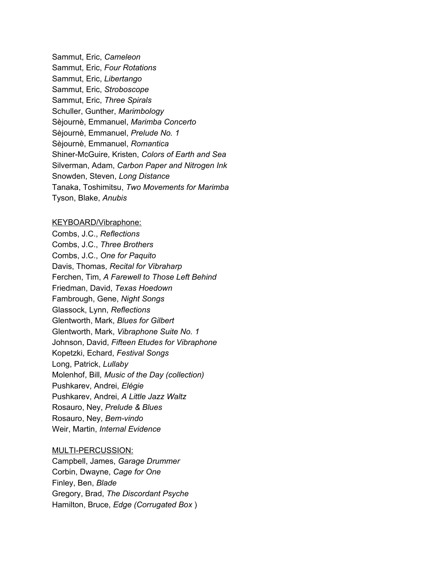Sammut, Eric, *Cameleon* Sammut, Eric, *Four Rotations* Sammut, Eric, *Libertango* Sammut, Eric, *Stroboscope* Sammut, Eric, *Three Spirals* Schuller, Gunther, *Marimbology* Sèjournè, Emmanuel, *Marimba Concerto* Sèjournè, Emmanuel, *Prelude No. 1* Sèjournè, Emmanuel, *Romantica* Shiner-McGuire, Kristen, *Colors of Earth and Sea* Silverman, Adam, *Carbon Paper and Nitrogen Ink* Snowden, Steven, *Long Distance* Tanaka, Toshimitsu, *Two Movements for Marimba* Tyson, Blake, *Anubis*

### KEYBOARD/Vibraphone:

Combs, J.C., *Reflections* Combs, J.C., *Three Brothers* Combs, J.C., *One for Paquito* Davis, Thomas, *Recital for Vibraharp* Ferchen, Tim, *A Farewell to Those Left Behind* Friedman, David, *Texas Hoedown* Fambrough, Gene, *Night Songs* Glassock, Lynn, *Reflections* Glentworth, Mark, *Blues for Gilbert* Glentworth, Mark, *Vibraphone Suite No. 1* Johnson, David, *Fifteen Etudes for Vibraphone* Kopetzki, Echard, *Festival Songs* Long, Patrick, *Lullaby* Molenhof, Bill*, Music of the Day (collection)* Pushkarev, Andrei, *Elégie* Pushkarev, Andrei, *A Little Jazz Waltz* Rosauro, Ney, *Prelude & Blues* Rosauro, Ney, *Bem-vindo* Weir, Martin, *Internal Evidence*

## MULTI-PERCUSSION:

Campbell, James, *Garage Drummer* Corbin, Dwayne, *Cage for One* Finley, Ben, *Blade* Gregory, Brad, *The Discordant Psyche* Hamilton, Bruce, *Edge (Corrugated Box* )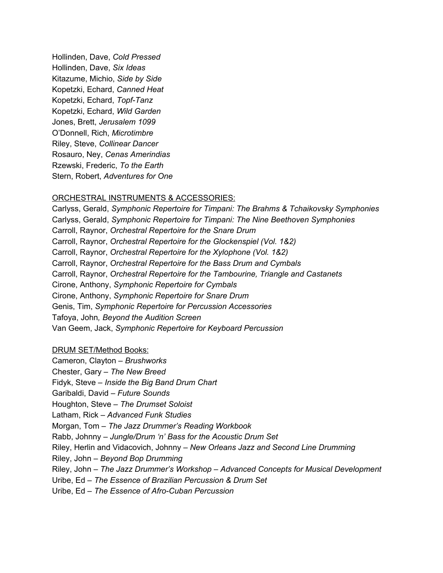Hollinden, Dave, *Cold Pressed* Hollinden, Dave, *Six Ideas* Kitazume, Michio, *Side by Side* Kopetzki, Echard, *Canned Heat* Kopetzki, Echard, *Topf-Tanz* Kopetzki, Echard, *Wild Garden* Jones, Brett, *Jerusalem 1099* O'Donnell, Rich, *Microtimbre* Riley, Steve, *Collinear Dancer* Rosauro, Ney, *Cenas Amerindias* Rzewski, Frederic, *To the Earth* Stern, Robert, *Adventures for One*

## ORCHESTRAL INSTRUMENTS & ACCESSORIES:

Carlyss, Gerald, *Symphonic Repertoire for Timpani: The Brahms & Tchaikovsky Symphonies* Carlyss, Gerald, *Symphonic Repertoire for Timpani: The Nine Beethoven Symphonies* Carroll, Raynor, *Orchestral Repertoire for the Snare Drum* Carroll, Raynor, *Orchestral Repertoire for the Glockenspiel (Vol. 1&2)* Carroll, Raynor, *Orchestral Repertoire for the Xylophone (Vol. 1&2)* Carroll, Raynor, *Orchestral Repertoire for the Bass Drum and Cymbals* Carroll, Raynor, *Orchestral Repertoire for the Tambourine, Triangle and Castanets* Cirone, Anthony, *Symphonic Repertoire for Cymbals* Cirone, Anthony, *Symphonic Repertoire for Snare Drum* Genis, Tim, *Symphonic Repertoire for Percussion Accessories* Tafoya, John*, Beyond the Audition Screen* Van Geem, Jack, *Symphonic Repertoire for Keyboard Percussion*

## DRUM SET/Method Books:

Cameron, Clayton *– Brushworks* Chester, Gary *– The New Breed* Fidyk, Steve *– Inside the Big Band Drum Chart* Garibaldi, David *– Future Sounds* Houghton, Steve *– The Drumset Soloist* Latham, Rick *– Advanced Funk Studies* Morgan, Tom *– The Jazz Drummer's Reading Workbook* Rabb, Johnny *– Jungle/Drum 'n' Bass for the Acoustic Drum Set* Riley, Herlin and Vidacovich, Johnny *– New Orleans Jazz and Second Line Drumming* Riley, John *– Beyond Bop Drumming* Riley, John *– The Jazz Drummer's Workshop – Advanced Concepts for Musical Development* Uribe, Ed *– The Essence of Brazilian Percussion & Drum Set* Uribe, Ed *– The Essence of Afro-Cuban Percussion*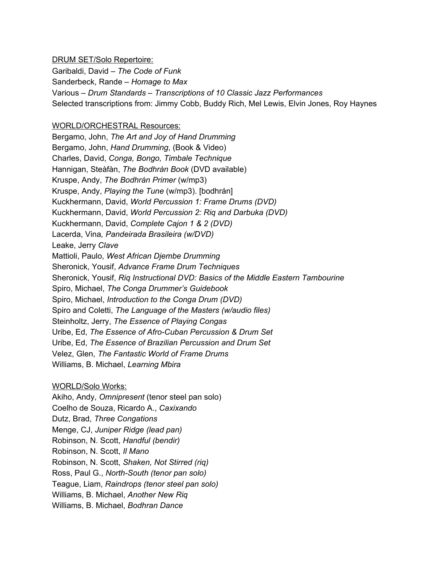## DRUM SET/Solo Repertoire:

Garibaldi, David *– The Code of Funk* Sanderbeck, Rande *– Homage to Max* Various *– Drum Standards – Transcriptions of 10 Classic Jazz Performances* Selected transcriptions from: Jimmy Cobb, Buddy Rich, Mel Lewis, Elvin Jones, Roy Haynes

## WORLD/ORCHESTRAL Resources:

Bergamo, John, *The Art and Joy of Hand Drumming* Bergamo, John, *Hand Drumming*, (Book & Video) Charles, David, *Conga, Bongo, Timbale Technique* Hannigan, Steàfàn, *The Bodhràn Book* (DVD available) Kruspe, Andy, *The Bodhrán Primer* (w/mp3) Kruspe, Andy, *Playing the Tune* (w/mp3). [bodhrán] Kuckhermann, David, *World Percussion 1: Frame Drums (DVD)* Kuckhermann, David, *World Percussion 2: Riq and Darbuka (DVD)* Kuckhermann, David, *Complete Cajon 1 & 2 (DVD)* Lacerda, Vina*, Pandeirada Brasileira (w/DVD)* Leake, Jerry *Clave* Mattioli, Paulo, *West African Djembe Drumming* Sheronick, Yousif, *Advance Frame Drum Techniques* Sheronick, Yousif, *Riq Instructional DVD: Basics of the Middle Eastern Tambourine* Spiro, Michael, *The Conga Drummer's Guidebook* Spiro, Michael, *Introduction to the Conga Drum (DVD)* Spiro and Coletti, *The Language of the Masters (w/audio files)* Steinholtz, Jerry, *The Essence of Playing Congas* Uribe, Ed, *The Essence of Afro-Cuban Percussion & Drum Set* Uribe, Ed, *The Essence of Brazilian Percussion and Drum Set* Velez, Glen, *The Fantastic World of Frame Drums* Williams, B. Michael, *Learning Mbira*

## WORLD/Solo Works:

Akiho, Andy, *Omnipresent* (tenor steel pan solo) Coelho de Souza, Ricardo A., *Caxixando* Dutz, Brad, *Three Congations* Menge, CJ, *Juniper Ridge (lead pan)* Robinson, N. Scott, *Handful (bendir)* Robinson, N. Scott, *Il Mano* Robinson, N. Scott, *Shaken, Not Stirred (riq)* Ross, Paul G., *North-South (tenor pan solo)* Teague, Liam, *Raindrops (tenor steel pan solo)* Williams, B. Michael, *Another New Riq* Williams, B. Michael, *Bodhran Dance*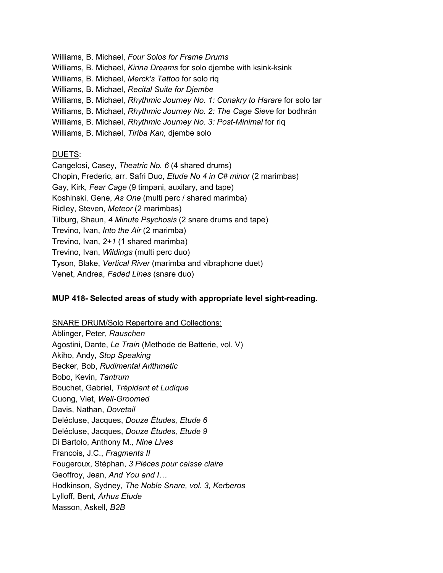Williams, B. Michael, *Four Solos for Frame Drums* Williams, B. Michael, *Kirina Dreams* for solo djembe with ksink-ksink Williams, B. Michael, *Merck's Tattoo* for solo riq Williams, B. Michael, *Recital Suite for Djembe* Williams, B. Michael, *Rhythmic Journey No. 1: Conakry to Harare* for solo tar Williams, B. Michael, *Rhythmic Journey No. 2: The Cage Sieve* for bodhrán Williams, B. Michael, *Rhythmic Journey No. 3: Post-Minimal* for riq Williams, B. Michael, *Tiriba Kan,* djembe solo

## DUETS:

Cangelosi, Casey, *Theatric No. 6* (4 shared drums) Chopin, Frederic, arr. Safri Duo, *Etude No 4 in C# minor* (2 marimbas) Gay, Kirk, *Fear Cage* (9 timpani, auxilary, and tape) Koshinski, Gene, *As One* (multi perc / shared marimba) Ridley, Steven, *Meteor* (2 marimbas) Tilburg, Shaun, *4 Minute Psychosis* (2 snare drums and tape) Trevino, Ivan, *Into the Air* (2 marimba) Trevino, Ivan, *2+1* (1 shared marimba) Trevino, Ivan, *Wildings* (multi perc duo) Tyson, Blake, *Vertical River* (marimba and vibraphone duet) Venet, Andrea, *Faded Lines* (snare duo)

## **MUP 418- Selected areas of study with appropriate level sight-reading.**

SNARE DRUM/Solo Repertoire and Collections: Ablinger, Peter, *Rauschen* Agostini, Dante, *Le Train* (Methode de Batterie, vol. V) Akiho, Andy, *Stop Speaking* Becker, Bob, *Rudimental Arithmetic* Bobo, Kevin, *Tantrum* Bouchet, Gabriel, *Trépidant et Ludique* Cuong, Viet, *Well-Groomed* Davis, Nathan, *Dovetail* Delécluse, Jacques, *Douze Études, Etude 6* Delécluse, Jacques, *Douze Études, Etude 9* Di Bartolo, Anthony M*., Nine Lives* Francois, J.C., *Fragments II* Fougeroux, Stéphan, *3 Pièces pour caisse claire* Geoffroy, Jean, *And You and I…* Hodkinson, Sydney, *The Noble Snare, vol. 3, Kerberos* Lylloff, Bent, *Århus Etude* Masson, Askell*, B2B*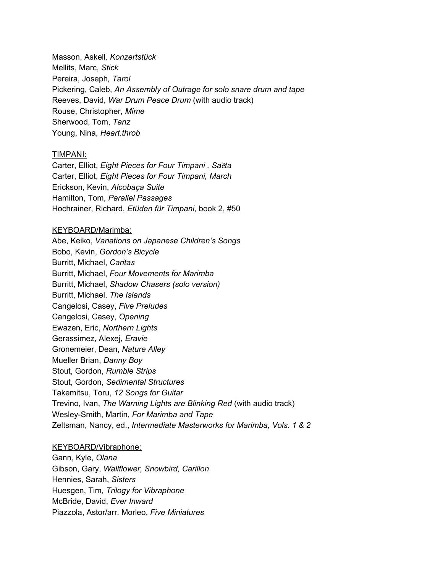Masson, Askell*, Konzertstück* Mellits, Marc, *Stick* Pereira, Joseph*, Tarol* Pickering, Caleb, *An Assembly of Outrage for solo snare drum and tape* Reeves, David, *War Drum Peace Drum* (with audio track) Rouse, Christopher, *Mime* Sherwood, Tom, *Tanz* Young, Nina, *Heart.throb*

#### TIMPANI:

Carter, Elliot, *Eight Pieces for Four Timpani , Sa*ȅ*ta* Carter, Elliot, *Eight Pieces for Four Timpani, March* Erickson, Kevin, *Alcobaça Suite* Hamilton, Tom, *Parallel Passages* Hochrainer, Richard, *Etüden für Timpani*, book 2, #50

#### KEYBOARD/Marimba:

Abe, Keiko, *Variations on Japanese Children's Songs* Bobo, Kevin, *Gordon's Bicycle* Burritt, Michael, *Caritas* Burritt, Michael, *Four Movements for Marimba* Burritt, Michael, *Shadow Chasers (solo version)* Burritt, Michael, *The Islands* Cangelosi, Casey, *Five Preludes* Cangelosi, Casey, *Opening* Ewazen, Eric, *Northern Lights* Gerassimez, Alexej*, Eravie* Gronemeier, Dean, *Nature Alley* Mueller Brian, *Danny Boy* Stout, Gordon, *Rumble Strips* Stout, Gordon, *Sedimental Structures* Takemitsu, Toru, *12 Songs for Guitar* Trevino, Ivan, *The Warning Lights are Blinking Red* (with audio track) Wesley-Smith, Martin, *For Marimba and Tape* Zeltsman, Nancy, ed., *Intermediate Masterworks for Marimba, Vols. 1 & 2*

#### KEYBOARD/Vibraphone:

Gann, Kyle, *Olana* Gibson, Gary, *Wallflower, Snowbird, Carillon* Hennies, Sarah, *Sisters* Huesgen, Tim, *Trilogy for Vibraphone* McBride, David, *Ever Inward* Piazzola, Astor/arr. Morleo, *Five Miniatures*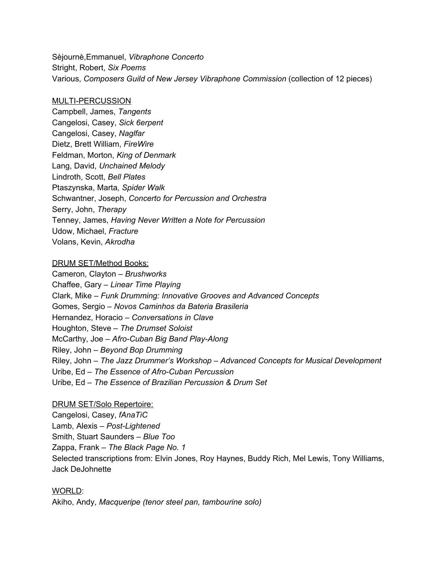Sèjournè,Emmanuel, *Vibraphone Concerto* Stright, Robert, *Six Poems* Various, *Composers Guild of New Jersey Vibraphone Commission* (collection of 12 pieces)

## MULTI-PERCUSSION

Campbell, James, *Tangents* Cangelosi, Casey, *Sick 6erpent* Cangelosi, Casey, *Naglfar* Dietz, Brett William, *FireWire* Feldman, Morton, *King of Denmark* Lang, David, *Unchained Melody* Lindroth, Scott, *Bell Plates* Ptaszynska, Marta*, Spider Walk* Schwantner, Joseph, *Concerto for Percussion and Orchestra* Serry, John, *Therapy* Tenney, James, *Having Never Written a Note for Percussion* Udow, Michael, *Fracture* Volans, Kevin, *Akrodha*

## DRUM SET/Method Books:

Cameron, Clayton – *Brushworks* Chaffee, Gary – *Linear Time Playing* Clark, Mike – *Funk Drumming: Innovative Grooves and Advanced Concepts* Gomes, Sergio – *Novos Caminhos da Bateria Brasileria* Hernandez, Horacio – *Conversations in Clave* Houghton, Steve – *The Drumset Soloist* McCarthy, Joe – *Afro-Cuban Big Band Play-Along* Riley, John – *Beyond Bop Drumming* Riley, John – *The Jazz Drummer's Workshop – Advanced Concepts for Musical Development* Uribe, Ed – *The Essence of Afro-Cuban Percussion* Uribe, Ed – *The Essence of Brazilian Percussion & Drum Set*

## DRUM SET/Solo Repertoire:

Cangelosi, Casey, *fAnaTiC* Lamb, Alexis – *Post-Lightened* Smith, Stuart Saunders – *Blue Too* Zappa, Frank – *The Black Page No. 1* Selected transcriptions from: Elvin Jones, Roy Haynes, Buddy Rich, Mel Lewis, Tony Williams, Jack DeJohnette

WORLD: Akiho, Andy, *Macqueripe (tenor steel pan, tambourine solo)*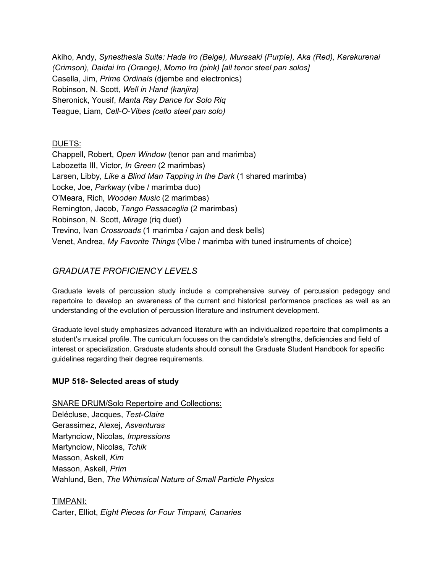Akiho, Andy, *Synesthesia Suite: Hada Iro (Beige), Murasaki (Purple), Aka (Red), Karakurenai (Crimson), Daidai Iro (Orange), Momo Iro (pink) [all tenor steel pan solos]* Casella, Jim, *Prime Ordinals* (djembe and electronics) Robinson, N. Scott*, Well in Hand (kanjira)* Sheronick, Yousif, *Manta Ray Dance for Solo Riq* Teague, Liam, *Cell-O-Vibes (cello steel pan solo)*

## DUETS:

Chappell, Robert, *Open Window* (tenor pan and marimba) Labozetta III, Victor, *In Green* (2 marimbas) Larsen, Libby*, Like a Blind Man Tapping in the Dark* (1 shared marimba) Locke, Joe, *Parkway* (vibe / marimba duo) O'Meara, Rich*, Wooden Music* (2 marimbas) Remington, Jacob, *Tango Passacaglia* (2 marimbas) Robinson, N. Scott, *Mirage* (riq duet) Trevino, Ivan *Crossroads* (1 marimba / cajon and desk bells) Venet, Andrea, *My Favorite Things* (Vibe / marimba with tuned instruments of choice)

# *GRADUATE PROFICIENCY LEVELS*

Graduate levels of percussion study include a comprehensive survey of percussion pedagogy and repertoire to develop an awareness of the current and historical performance practices as well as an understanding of the evolution of percussion literature and instrument development.

Graduate level study emphasizes advanced literature with an individualized repertoire that compliments a student's musical profile. The curriculum focuses on the candidate's strengths, deficiencies and field of interest or specialization. Graduate students should consult the Graduate Student Handbook for specific guidelines regarding their degree requirements.

## **MUP 518- Selected areas of study**

SNARE DRUM/Solo Repertoire and Collections: Delécluse, Jacques, *Test-Claire* Gerassimez, Alexej, *Asventuras* Martynciow, Nicolas, *Impressions* Martynciow, Nicolas, *Tchik* Masson, Askell*, Kim* Masson, Askell, *Prim* Wahlund, Ben, *The Whimsical Nature of Small Particle Physics*

## TIMPANI:

Carter, Elliot, *Eight Pieces for Four Timpani, Canaries*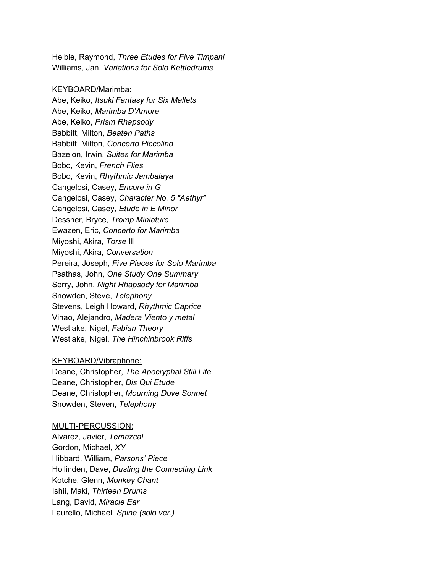Helble, Raymond, *Three Etudes for Five Timpani* Williams, Jan, *Variations for Solo Kettledrums*

#### KEYBOARD/Marimba:

Abe, Keiko, *Itsuki Fantasy for Six Mallets* Abe, Keiko, *Marimba D'Amore* Abe, Keiko, *Prism Rhapsody* Babbitt, Milton, *Beaten Paths* Babbitt, Milton*, Concerto Piccolino* Bazelon, Irwin, *Suites for Marimba* Bobo, Kevin, *French Flies* Bobo, Kevin, *Rhythmic Jambalaya* Cangelosi, Casey, *Encore in G* Cangelosi, Casey, *Character No. 5 "Aethyr"* Cangelosi, Casey, *Etude in E Minor* Dessner, Bryce, *Tromp Miniature* Ewazen, Eric, *Concerto for Marimba* Miyoshi, Akira, *Torse* III Miyoshi, Akira, *Conversation* Pereira, Joseph*, Five Pieces for Solo Marimba* Psathas, John, *One Study One Summary* Serry, John, *Night Rhapsody for Marimba* Snowden, Steve, *Telephony* Stevens, Leigh Howard, *Rhythmic Caprice* Vinao, Alejandro, *Madera Viento y metal* Westlake, Nigel, *Fabian Theory* Westlake, Nigel, *The Hinchinbrook Riffs*

## KEYBOARD/Vibraphone:

Deane, Christopher, *The Apocryphal Still Life* Deane, Christopher, *Dis Qui Etude* Deane, Christopher, *Mourning Dove Sonnet* Snowden, Steven, *Telephony*

#### MULTI-PERCUSSION:

Alvarez, Javier, *Temazcal* Gordon, Michael, *XY* Hibbard, William, *Parsons' Piece* Hollinden, Dave, *Dusting the Connecting Link* Kotche, Glenn, *Monkey Chant* Ishii, Maki, *Thirteen Drums* Lang, David, *Miracle Ear* Laurello, Michael*, Spine (solo ver.)*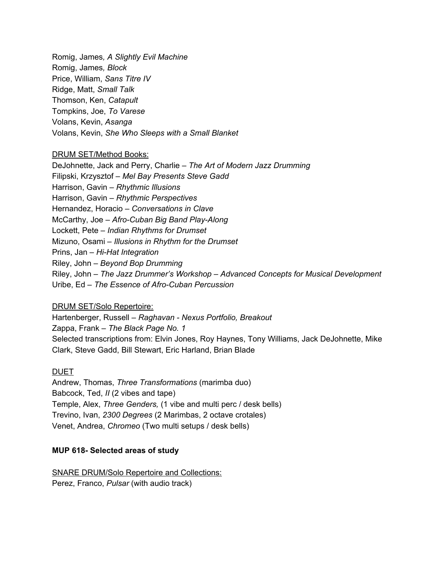Romig, James*, A Slightly Evil Machine* Romig, James*, Block* Price, William, *Sans Titre IV* Ridge, Matt, *Small Talk* Thomson, Ken, *Catapult* Tompkins, Joe, *To Varese* Volans, Kevin, *Asanga* Volans, Kevin, *She Who Sleeps with a Small Blanket*

## DRUM SET/Method Books:

DeJohnette, Jack and Perry, Charlie *– The Art of Modern Jazz Drumming* Filipski, Krzysztof *– Mel Bay Presents Steve Gadd* Harrison, Gavin *– Rhythmic Illusions* Harrison, Gavin *– Rhythmic Perspectives* Hernandez, Horacio *– Conversations in Clave* McCarthy, Joe *– Afro-Cuban Big Band Play-Along* Lockett, Pete *– Indian Rhythms for Drumset* Mizuno, Osami *– Illusions in Rhythm for the Drumset* Prins, Jan *– Hi-Hat Integration* Riley, John *– Beyond Bop Drumming* Riley, John *– The Jazz Drummer's Workshop – Advanced Concepts for Musical Development* Uribe, Ed *– The Essence of Afro-Cuban Percussion*

## DRUM SET/Solo Repertoire:

Hartenberger, Russell *– Raghavan - Nexus Portfolio, Breakout* Zappa, Frank *– The Black Page No. 1* Selected transcriptions from: Elvin Jones, Roy Haynes, Tony Williams, Jack DeJohnette, Mike Clark, Steve Gadd, Bill Stewart, Eric Harland, Brian Blade

## DUET

Andrew, Thomas, *Three Transformations* (marimba duo) Babcock, Ted, *II* (2 vibes and tape) Temple, Alex, *Three Genders,* (1 vibe and multi perc / desk bells) Trevino, Ivan, *2300 Degrees* (2 Marimbas, 2 octave crotales) Venet, Andrea, *Chromeo* (Two multi setups / desk bells)

## **MUP 618- Selected areas of study**

SNARE DRUM/Solo Repertoire and Collections: Perez, Franco, *Pulsar* (with audio track)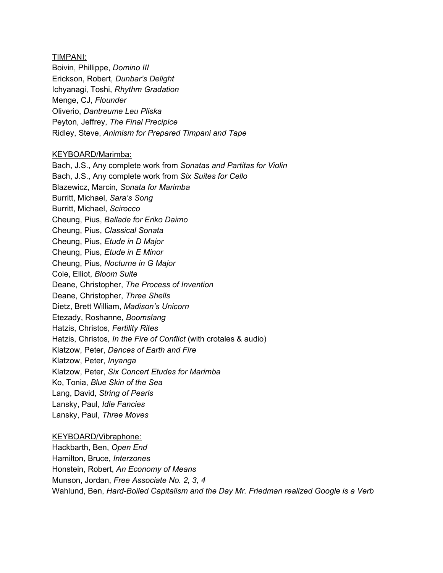#### TIMPANI:

Boivin, Phillippe, *Domino III* Erickson, Robert, *Dunbar's Delight* Ichyanagi, Toshi, *Rhythm Gradation* Menge, CJ, *Flounder* Oliverio, *Dantreume Leu Pliska* Peyton, Jeffrey, *The Final Precipice* Ridley, Steve, *Animism for Prepared Timpani and Tape*

#### KEYBOARD/Marimba:

Bach, J.S., Any complete work from *Sonatas and Partitas for Violin* Bach, J.S., Any complete work from *Six Suites for Cello* Blazewicz, Marcin*, Sonata for Marimba* Burritt, Michael, *Sara's Song* Burritt, Michael, *Scirocco* Cheung, Pius, *Ballade for Eriko Daimo* Cheung, Pius, *Classical Sonata* Cheung, Pius, *Etude in D Major* Cheung, Pius, *Etude in E Minor* Cheung, Pius, *Nocturne in G Major* Cole, Elliot, *Bloom Suite* Deane, Christopher, *The Process of Invention* Deane, Christopher, *Three Shells* Dietz, Brett William, *Madison's Unicorn* Etezady, Roshanne, *Boomslang* Hatzis, Christos, *Fertility Rites* Hatzis, Christos*, In the Fire of Conflict* (with crotales & audio) Klatzow, Peter, *Dances of Earth and Fire* Klatzow, Peter, *Inyanga* Klatzow, Peter, *Six Concert Etudes for Marimba* Ko, Tonia, *Blue Skin of the Sea* Lang, David, *String of Pearls* Lansky, Paul, *Idle Fancies* Lansky, Paul, *Three Moves*

## KEYBOARD/Vibraphone:

Hackbarth, Ben, *Open End* Hamilton*,* Bruce, *Interzones* Honstein, Robert, *An Economy of Means* Munson, Jordan, *Free Associate No. 2, 3, 4* Wahlund, Ben, *Hard-Boiled Capitalism and the Day Mr. Friedman realized Google is a Verb*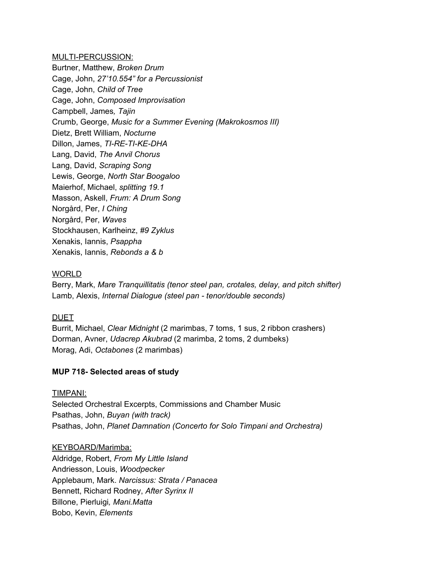MULTI-PERCUSSION:

Burtner, Matthew, *Broken Drum* Cage, John, *27'10.554" for a Percussionist* Cage, John, *Child of Tree* Cage, John, *Composed Improvisation* Campbell, James*, Tajin* Crumb, George, *Music for a Summer Evening (Makrokosmos III)* Dietz, Brett William, *Nocturne* Dillon, James, *TI-RE-TI-KE-DHA* Lang, David, *The Anvil Chorus* Lang, David, *Scraping Song* Lewis, George, *North Star Boogaloo* Maierhof, Michael, *splitting 19.1* Masson, Askell, *Frum: A Drum Song* Norgård, Per, *I Ching* Norgård, Per, *Waves* Stockhausen, Karlheinz, *#9 Zyklus* Xenakis, Iannis, *Psappha* Xenakis, Iannis, *Rebonds a & b*

## WORLD

Berry, Mark, *Mare Tranquillitatis (tenor steel pan, crotales, delay, and pitch shifter)* Lamb, Alexis, *Internal Dialogue (steel pan - tenor/double seconds)*

## DUET

Burrit, Michael, *Clear Midnight* (2 marimbas, 7 toms, 1 sus, 2 ribbon crashers) Dorman, Avner, *Udacrep Akubrad* (2 marimba, 2 toms, 2 dumbeks) Morag, Adi, *Octabones* (2 marimbas)

## **MUP 718- Selected areas of study**

## TIMPANI:

Selected Orchestral Excerpts, Commissions and Chamber Music Psathas, John, *Buyan (with track)* Psathas, John, *Planet Damnation (Concerto for Solo Timpani and Orchestra)*

## KEYBOARD/Marimba:

Aldridge, Robert, *From My Little Island* Andriesson, Louis, *Woodpecker* Applebaum, Mark. *Narcissus: Strata / Panacea* Bennett, Richard Rodney, *After Syrinx II* Billone, Pierluigi*, Mani.Matta* Bobo, Kevin, *Elements*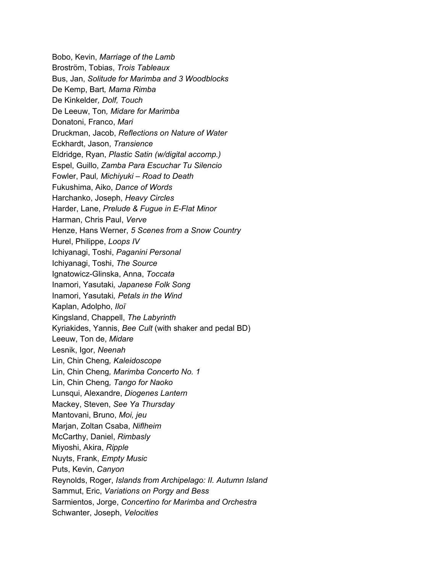Bobo, Kevin, *Marriage of the Lamb* Broström, Tobias, *Trois Tableaux* Bus, Jan, *Solitude for Marimba and 3 Woodblocks* De Kemp, Bart*, Mama Rimba* De Kinkelder*, Dolf, Touch* De Leeuw, Ton*, Midare for Marimba* Donatoni, Franco, *Mari* Druckman, Jacob, *Reflections on Nature of Water* Eckhardt, Jason, *Transience* Eldridge, Ryan, *Plastic Satin (w/digital accomp.)* Espel, Guillo, *Zamba Para Escuchar Tu Silencio* Fowler, Paul*, Michiyuki – Road to Death* Fukushima, Aiko, *Dance of Words* Harchanko, Joseph, *Heavy Circles* Harder, Lane, *Prelude & Fugue in E-Flat Minor* Harman, Chris Paul, *Verve* Henze, Hans Werner, *5 Scenes from a Snow Country* Hurel, Philippe, *Loops IV* Ichiyanagi, Toshi, *Paganini Personal* Ichiyanagi, Toshi, *The Source* Ignatowicz-Glinska, Anna, *Toccata* Inamori, Yasutaki*, Japanese Folk Song* Inamori, Yasutaki*, Petals in the Wind* Kaplan, Adolpho, *Iloï* Kingsland, Chappell, *The Labyrinth* Kyriakides, Yannis, *Bee Cult* (with shaker and pedal BD) Leeuw, Ton de, *Midare* Lesnik, Igor, *Neenah* Lin, Chin Cheng*, Kaleidoscope* Lin, Chin Cheng*, Marimba Concerto No. 1* Lin, Chin Cheng*, Tango for Naoko* Lunsqui, Alexandre, *Diogenes Lantern* Mackey, Steven, *See Ya Thursday* Mantovani, Bruno, *Moi, jeu* Marjan, Zoltan Csaba, *Niflheim* McCarthy, Daniel, *Rimbasly* Miyoshi, Akira, *Ripple* Nuyts, Frank, *Empty Music* Puts, Kevin, *Canyon* Reynolds, Roger, *Islands from Archipelago: II. Autumn Island* Sammut, Eric, *Variations on Porgy and Bess* Sarmientos, Jorge, *Concertino for Marimba and Orchestra* Schwanter, Joseph, *Velocities*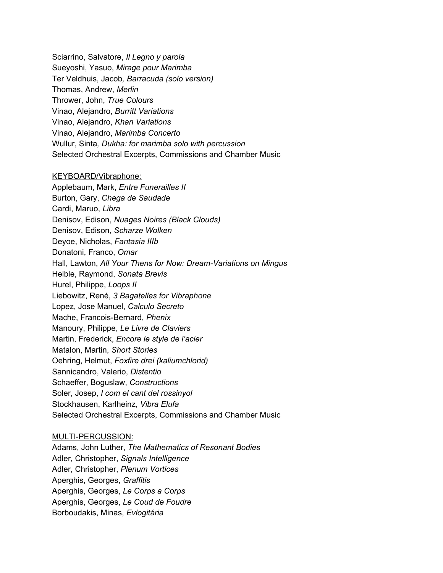Sciarrino, Salvatore, *Il Legno y parola* Sueyoshi, Yasuo, *Mirage pour Marimba* Ter Veldhuis, Jacob*, Barracuda (solo version)* Thomas, Andrew, *Merlin* Thrower, John, *True Colours* Vinao, Alejandro, *Burritt Variations* Vinao, Alejandro, *Khan Variations* Vinao, Alejandro, *Marimba Concerto* Wullur, Sinta*, Dukha: for marimba solo with percussion* Selected Orchestral Excerpts, Commissions and Chamber Music

## KEYBOARD/Vibraphone:

Applebaum, Mark, *Entre Funerailles II* Burton, Gary, *Chega de Saudade* Cardi, Maruo, *Libra* Denisov, Edison, *Nuages Noires (Black Clouds)* Denisov, Edison, *Scharze Wolken* Deyoe, Nicholas, *Fantasia IIIb* Donatoni, Franco, *Omar* Hall, Lawton, *All Your Thens for Now: Dream-Variations on Mingus* Helble, Raymond, *Sonata Brevis* Hurel, Philippe, *Loops II* Liebowitz, René, *3 Bagatelles for Vibraphone* Lopez, Jose Manuel, *Calculo Secreto* Mache, Francois-Bernard, *Phenix* Manoury, Philippe, *Le Livre de Claviers* Martin, Frederick, *Encore le style de l'acier* Matalon, Martin, *Short Stories* Oehring, Helmut, *Foxfire drei (kaliumchlorid)* Sannicandro, Valerio, *Distentio* Schaeffer, Boguslaw, *Constructions* Soler, Josep, *I com el cant del rossinyol* Stockhausen, Karlheinz, *Vibra Elufa* Selected Orchestral Excerpts, Commissions and Chamber Music

## MULTI-PERCUSSION:

Adams, John Luther, *The Mathematics of Resonant Bodies* Adler, Christopher, *Signals Intelligence* Adler, Christopher, *Plenum Vortices* Aperghis, Georges, *Graffitis* Aperghis, Georges, *Le Corps a Corps* Aperghis, Georges, *Le Coud de Foudre* Borboudakis, Minas, *Evlogitária*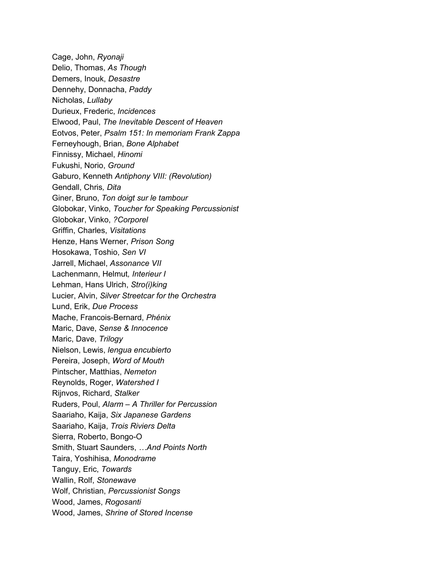Cage, John, *Ryonaji* Delio, Thomas, *As Though* Demers, Inouk, *Desastre* Dennehy, Donnacha, *Paddy* Nicholas, *Lullaby* Durieux, Frederic, *Incidences* Elwood, Paul, *The Inevitable Descent of Heaven* Eotvos, Peter, *Psalm 151: In memoriam Frank Zappa* Ferneyhough, Brian, *Bone Alphabet* Finnissy, Michael, *Hinomi* Fukushi, Norio, *Ground* Gaburo, Kenneth *Antiphony VIII: (Revolution)* Gendall, Chris*, Dita* Giner, Bruno, *Ton doigt sur le tambour* Globokar, Vinko, *Toucher for Speaking Percussionist* Globokar, Vinko, *?Corporel* Griffin, Charles, *Visitations* Henze, Hans Werner, *Prison Song* Hosokawa, Toshio, *Sen VI* Jarrell, Michael, *Assonance VII* Lachenmann, Helmut*, Interieur I* Lehman, Hans Ulrich, *Stro(i)king* Lucier, Alvin, *Silver Streetcar for the Orchestra* Lund, Erik, *Due Process* Mache, Francois-Bernard, *Phénix* Maric, Dave, *Sense & Innocence* Maric, Dave, *Trilogy* Nielson, Lewis, *lengua encubierto* Pereira, Joseph, *Word of Mouth* Pintscher, Matthias, *Nemeton* Reynolds, Roger, *Watershed I* Rijnvos, Richard, *Stalker* Ruders, Poul, *Alarm – A Thriller for Percussion* Saariaho, Kaija, *Six Japanese Gardens* Saariaho, Kaija, *Trois Riviers Delta* Sierra, Roberto, Bongo-O Smith, Stuart Saunders, *…And Points North* Taira, Yoshihisa, *Monodrame* Tanguy, Eric, *Towards* Wallin, Rolf, *Stonewave* Wolf, Christian, *Percussionist Songs* Wood, James, *Rogosanti* Wood, James, *Shrine of Stored Incense*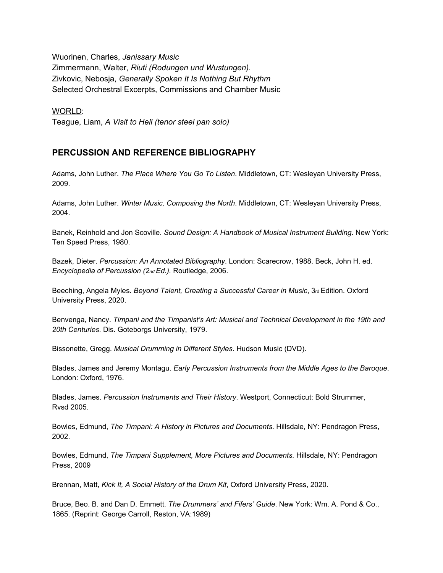Wuorinen, Charles, *Janissary Music* Zimmermann, Walter, *Riuti (Rodungen und Wustungen).* Zivkovic, Nebosja, *Generally Spoken It Is Nothing But Rhythm* Selected Orchestral Excerpts, Commissions and Chamber Music

WORLD:

Teague, Liam, *A Visit to Hell (tenor steel pan solo)*

## **PERCUSSION AND REFERENCE BIBLIOGRAPHY**

Adams, John Luther. *The Place Where You Go To Listen*. Middletown, CT: Wesleyan University Press, 2009.

Adams, John Luther. *Winter Music, Composing the North*. Middletown, CT: Wesleyan University Press, 2004.

Banek, Reinhold and Jon Scoville. *Sound Design: A Handbook of Musical Instrument Building*. New York: Ten Speed Press, 1980.

Bazek, Dieter. *Percussion: An Annotated Bibliography*. London: Scarecrow, 1988. Beck, John H. ed. *Encyclopedia of Percussion (2nd Ed.).* Routledge, 2006.

Beeching, Angela Myles. *Beyond Talent, Creating a Successful Career in Music*, 3rd Edition. Oxford University Press, 2020.

Benvenga, Nancy. *Timpani and the Timpanist's Art: Musical and Technical Development in the 19th and 20th Centuries*. Dis. Goteborgs University, 1979.

Bissonette, Gregg. *Musical Drumming in Different Styles*. Hudson Music (DVD).

Blades, James and Jeremy Montagu. *Early Percussion Instruments from the Middle Ages to the Baroque*. London: Oxford, 1976.

Blades, James. *Percussion Instruments and Their History*. Westport, Connecticut: Bold Strummer, Rvsd 2005.

Bowles, Edmund, *The Timpani: A History in Pictures and Documents*. Hillsdale, NY: Pendragon Press, 2002.

Bowles, Edmund, *The Timpani Supplement, More Pictures and Documents.* Hillsdale, NY: Pendragon Press, 2009

Brennan, Matt, *Kick It, A Social History of the Drum Kit*, Oxford University Press, 2020.

Bruce, Beo. B. and Dan D. Emmett. *The Drummers' and Fifers' Guide*. New York: Wm. A. Pond & Co., 1865. (Reprint: George Carroll, Reston, VA:1989)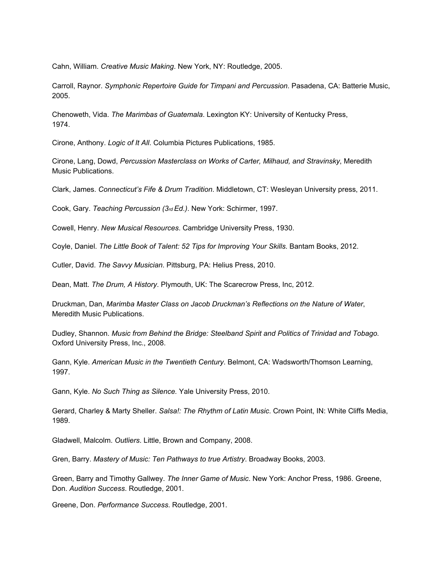Cahn, William. *Creative Music Making*. New York, NY: Routledge, 2005.

Carroll, Raynor. *Symphonic Repertoire Guide for Timpani and Percussion*. Pasadena, CA: Batterie Music, 2005.

Chenoweth, Vida. *The Marimbas of Guatemala*. Lexington KY: University of Kentucky Press, 1974.

Cirone, Anthony. *Logic of It All*. Columbia Pictures Publications, 1985.

Cirone, Lang, Dowd, *Percussion Masterclass on Works of Carter, Milhaud, and Stravinsky*, Meredith Music Publications.

Clark, James. *Connecticut's Fife & Drum Tradition*. Middletown, CT: Wesleyan University press, 2011.

Cook, Gary. *Teaching Percussion (3rd Ed.)*. New York: Schirmer, 1997.

Cowell, Henry. *New Musical Resources*. Cambridge University Press, 1930.

Coyle, Daniel. *The Little Book of Talent: 52 Tips for Improving Your Skills*. Bantam Books, 2012.

Cutler, David. *The Savvy Musician*. Pittsburg, PA: Helius Press, 2010.

Dean, Matt. *The Drum, A History*. Plymouth, UK: The Scarecrow Press, Inc, 2012.

Druckman, Dan, *Marimba Master Class on Jacob Druckman's Reflections on the Nature of Water*, Meredith Music Publications.

Dudley, Shannon. *Music from Behind the Bridge: Steelband Spirit and Politics of Trinidad and Tobago.* Oxford University Press, Inc., 2008.

Gann, Kyle. *American Music in the Twentieth Century*. Belmont, CA: Wadsworth/Thomson Learning, 1997.

Gann, Kyle. *No Such Thing as Silence.* Yale University Press, 2010.

Gerard, Charley & Marty Sheller. *Salsa!: The Rhythm of Latin Music*. Crown Point, IN: White Cliffs Media, 1989.

Gladwell, Malcolm. *Outliers*. Little, Brown and Company, 2008.

Gren, Barry. *Mastery of Music: Ten Pathways to true Artistry*. Broadway Books, 2003.

Green, Barry and Timothy Gallwey. *The Inner Game of Music*. New York: Anchor Press, 1986. Greene, Don. *Audition Success*. Routledge, 2001.

Greene, Don. *Performance Success*. Routledge, 2001.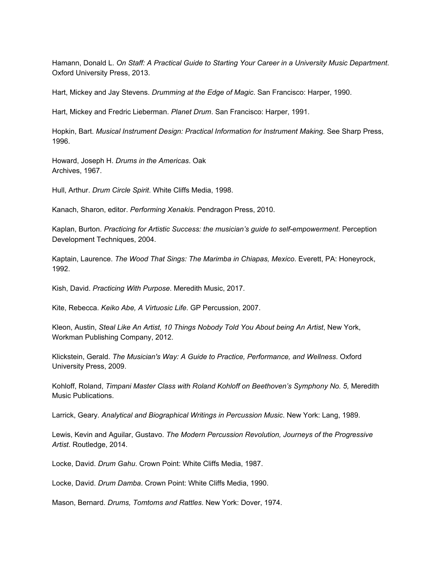Hamann, Donald L. *On Staff: A Practical Guide to Starting Your Career in a University Music Department*. Oxford University Press, 2013.

Hart, Mickey and Jay Stevens. *Drumming at the Edge of Magic*. San Francisco: Harper, 1990.

Hart, Mickey and Fredric Lieberman. *Planet Drum*. San Francisco: Harper, 1991.

Hopkin, Bart. *Musical Instrument Design: Practical Information for Instrument Making*. See Sharp Press, 1996.

Howard, Joseph H. *Drums in the Americas*. Oak Archives, 1967.

Hull, Arthur. *Drum Circle Spirit*. White Cliffs Media, 1998.

Kanach, Sharon, editor. *Performing Xenakis*. Pendragon Press, 2010.

Kaplan, Burton. *Practicing for Artistic Success: the musician's guide to self-empowerment*. Perception Development Techniques, 2004.

Kaptain, Laurence. *The Wood That Sings: The Marimba in Chiapas, Mexico*. Everett, PA: Honeyrock, 1992.

Kish, David. *Practicing With Purpose*. Meredith Music, 2017.

Kite, Rebecca. *Keiko Abe, A Virtuosic Life*. GP Percussion, 2007.

Kleon, Austin, *Steal Like An Artist, 10 Things Nobody Told You About being An Artist*, New York, Workman Publishing Company, 2012.

Klickstein, Gerald. *The Musician's Way: A Guide to Practice, Performance, and Wellness*. Oxford University Press, 2009.

Kohloff, Roland, *Timpani Master Class with Roland Kohloff on Beethoven's Symphony No. 5,* Meredith Music Publications.

Larrick, Geary. *Analytical and Biographical Writings in Percussion Music*. New York: Lang, 1989.

Lewis, Kevin and Aguilar, Gustavo. *The Modern Percussion Revolution, Journeys of the Progressive Artist*. Routledge, 2014.

Locke, David. *Drum Gahu*. Crown Point: White Cliffs Media, 1987.

Locke, David. *Drum Damba*. Crown Point: White Cliffs Media, 1990.

Mason, Bernard. *Drums, Tomtoms and Rattles*. New York: Dover, 1974.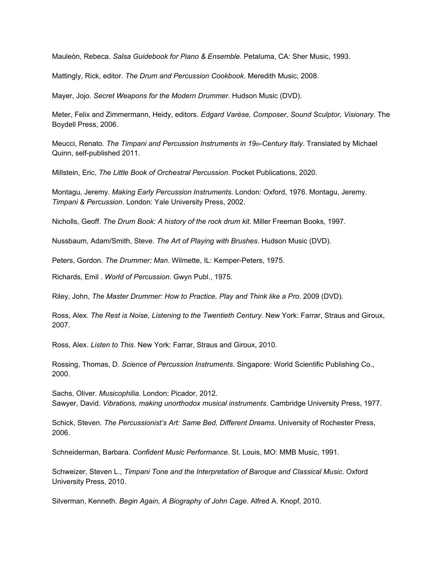Mauleòn, Rebeca. *Salsa Guidebook for Piano & Ensemble*. Petaluma, CA: Sher Music, 1993.

Mattingly, Rick, editor. *The Drum and Percussion Cookbook*. Meredith Music, 2008.

Mayer, Jojo. *Secret Weapons for the Modern Drummer*. Hudson Music (DVD).

Meter, Felix and Zimmermann, Heidy, editors. *Edgard Varèse, Composer, Sound Sculptor, Visionary*. The Boydell Press, 2006.

Meucci, Renato. *The Timpani and Percussion Instruments in 19th-Century Italy*. Translated by Michael Quinn, self-published 2011.

Millstein, Eric, *The Little Book of Orchestral Percussion*. Pocket Publications, 2020.

Montagu, Jeremy. *Making Early Percussion Instruments*. London: Oxford, 1976. Montagu, Jeremy. *Timpani & Percussion*. London: Yale University Press, 2002.

Nicholls, Geoff. *The Drum Book: A history of the rock drum kit*. Miller Freeman Books, 1997.

Nussbaum, Adam/Smith, Steve. *The Art of Playing with Brushes*. Hudson Music (DVD).

Peters, Gordon. *The Drummer: Man*. Wilmette, IL: Kemper-Peters, 1975.

Richards, Emil . *World of Percussion*. Gwyn Publ., 1975.

Riley, John, *The Master Drummer: How to Practice, Play and Think like a Pro*. 2009 (DVD).

Ross, Alex. *The Rest is Noise, Listening to the Twentieth Century*. New York: Farrar, Straus and Giroux, 2007.

Ross, Alex. *Listen to This*. New York: Farrar, Straus and Giroux, 2010.

Rossing, Thomas, D. *Science of Percussion Instruments*. Singapore: World Scientific Publishing Co., 2000.

Sachs, Oliver. *Musicophilia*. London: Picador, 2012. Sawyer, David. *Vibrations, making unorthodox musical instruments*. Cambridge University Press, 1977.

Schick, Steven. *The Percussionist's Art: Same Bed, Different Dreams*. University of Rochester Press, 2006.

Schneiderman, Barbara. *Confident Music Performance*. St. Louis, MO: MMB Music, 1991.

Schweizer, Steven L., *Timpani Tone and the Interpretation of Baroque and Classical Music*. Oxford University Press, 2010.

Silverman, Kenneth. *Begin Again, A Biography of John Cage*. Alfred A. Knopf, 2010.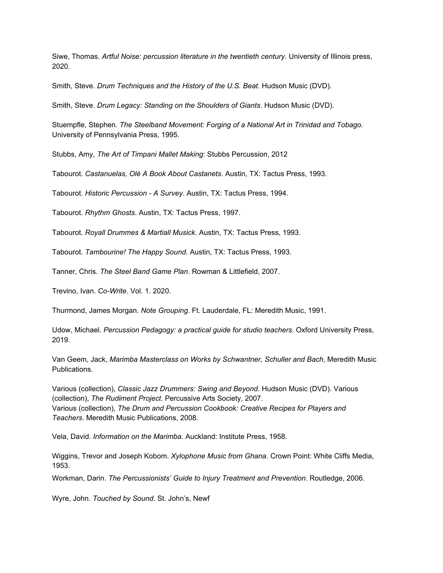Siwe, Thomas. *Artful Noise: percussion literature in the twentieth century*. University of Illinois press, 2020.

Smith, Steve. *Drum Techniques and the History of the U.S. Beat*. Hudson Music (DVD).

Smith, Steve. *Drum Legacy: Standing on the Shoulders of Giants*. Hudson Music (DVD).

Stuempfle, Stephen. *The Steelband Movement: Forging of a National Art in Trinidad and Tobago.* University of Pennsylvania Press, 1995.

Stubbs, Amy, *The Art of Timpani Mallet Making*: Stubbs Percussion, 2012

Tabourot. *Castanuelas, Olè A Book About Castanets*. Austin, TX: Tactus Press, 1993.

Tabourot. *Historic Percussion - A Survey*. Austin, TX: Tactus Press, 1994.

Tabourot. *Rhythm Ghosts*. Austin, TX: Tactus Press, 1997.

Tabourot. *Royall Drummes & Martiall Musick*. Austin, TX: Tactus Press, 1993.

Tabourot. *Tambourine! The Happy Sound*. Austin, TX: Tactus Press, 1993.

Tanner, Chris. *The Steel Band Game Plan*. Rowman & Littlefield, 2007.

Trevino, Ivan. *Co-Write*. Vol. 1. 2020.

Thurmond, James Morgan. *Note Grouping*. Ft. Lauderdale, FL: Meredith Music, 1991.

Udow, Michael. *Percussion Pedagogy: a practical guide for studio teachers*. Oxford University Press, 2019.

Van Geem, Jack, *Marimba Masterclass on Works by Schwantner, Schuller and Bach*, Meredith Music Publications.

Various (collection), *Classic Jazz Drummers: Swing and Beyond*. Hudson Music (DVD). Various (collection), *The Rudiment Project.* Percussive Arts Society, 2007. Various (collection), *The Drum and Percussion Cookbook: Creative Recipes for Players and Teachers*. Meredith Music Publications, 2008.

Vela, David. *Information on the Marimba*. Auckland: Institute Press, 1958.

Wiggins, Trevor and Joseph Kobom. *Xylophone Music from Ghana*. Crown Point: White Cliffs Media, 1953.

Workman, Darin. *The Percussionists' Guide to Injury Treatment and Prevention*. Routledge, 2006.

Wyre, John. *Touched by Sound*. St. John's, Newf